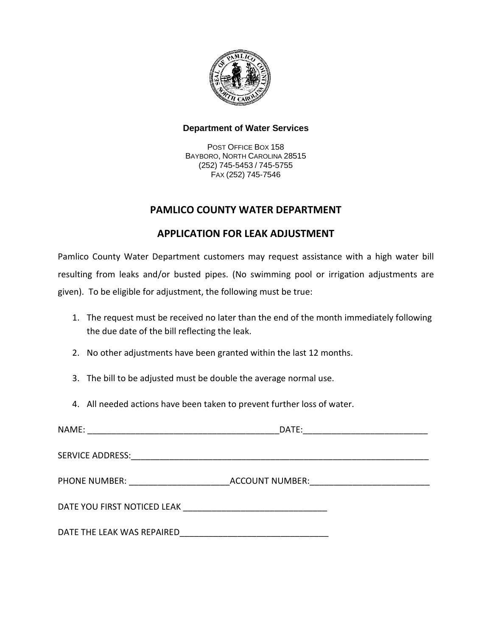

## **Department of Water Services**

POST OFFICE BOX 158 BAYBORO, NORTH CAROLINA 28515 (252) 745-5453 / 745-5755 FAX (252) 745-7546

# **PAMLICO COUNTY WATER DEPARTMENT**

## **APPLICATION FOR LEAK ADJUSTMENT**

Pamlico County Water Department customers may request assistance with a high water bill resulting from leaks and/or busted pipes. (No swimming pool or irrigation adjustments are given). To be eligible for adjustment, the following must be true:

- 1. The request must be received no later than the end of the month immediately following the due date of the bill reflecting the leak.
- 2. No other adjustments have been granted within the last 12 months.
- 3. The bill to be adjusted must be double the average normal use.
- 4. All needed actions have been taken to prevent further loss of water.

| NAME:                      | DATE: |
|----------------------------|-------|
|                            |       |
|                            |       |
|                            |       |
| DATE THE LEAK WAS REPAIRED |       |